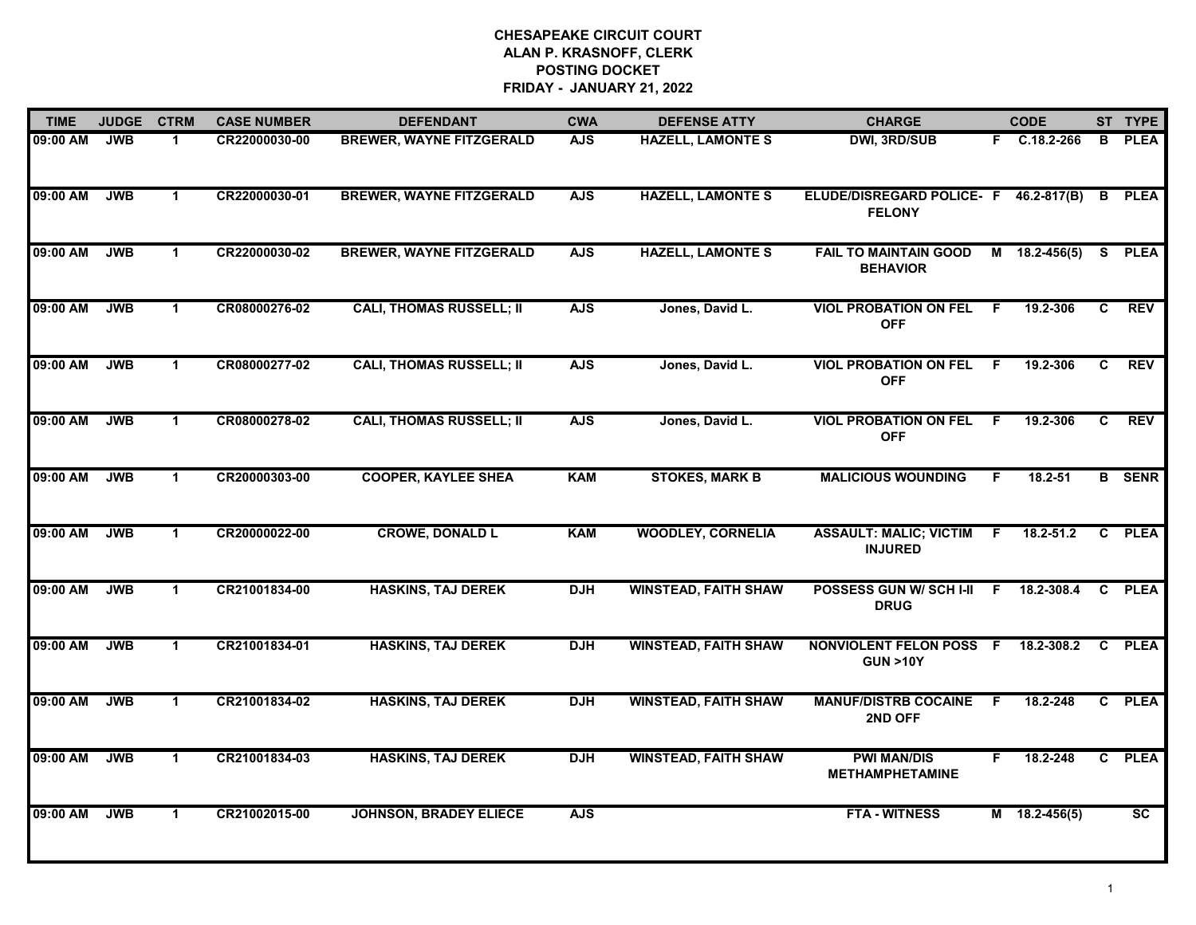| <b>TIME</b> | <b>JUDGE</b> | <b>CTRM</b>  | <b>CASE NUMBER</b> | <b>DEFENDANT</b>                | <b>CWA</b> | <b>DEFENSE ATTY</b>         | <b>CHARGE</b>                                            |    | <b>CODE</b>         |    | ST TYPE                |
|-------------|--------------|--------------|--------------------|---------------------------------|------------|-----------------------------|----------------------------------------------------------|----|---------------------|----|------------------------|
| 09:00 AM    | <b>JWB</b>   | -1           | CR22000030-00      | <b>BREWER, WAYNE FITZGERALD</b> | <b>AJS</b> | <b>HAZELL, LAMONTE S</b>    | <b>DWI, 3RD/SUB</b>                                      |    | F C.18.2-266        | B  | <b>PLEA</b>            |
| 09:00 AM    | <b>JWB</b>   | $\mathbf{1}$ | CR22000030-01      | <b>BREWER, WAYNE FITZGERALD</b> | <b>AJS</b> | <b>HAZELL, LAMONTE S</b>    | ELUDE/DISREGARD POLICE- F 46.2-817(B)<br><b>FELONY</b>   |    |                     |    | <b>B</b> PLEA          |
| 09:00 AM    | JWB          | $\mathbf{1}$ | CR22000030-02      | <b>BREWER, WAYNE FITZGERALD</b> | <b>AJS</b> | <b>HAZELL, LAMONTE S</b>    | <b>FAIL TO MAINTAIN GOOD</b><br><b>BEHAVIOR</b>          |    | $M$ 18.2-456(5)     |    | S PLEA                 |
| 09:00 AM    | <b>JWB</b>   | $\mathbf 1$  | CR08000276-02      | <b>CALI, THOMAS RUSSELL; II</b> | <b>AJS</b> | Jones, David L.             | <b>VIOL PROBATION ON FEL</b><br><b>OFF</b>               | F. | 19.2-306            | C  | <b>REV</b>             |
| 09:00 AM    | <b>JWB</b>   | $\mathbf 1$  | CR08000277-02      | <b>CALI, THOMAS RUSSELL; II</b> | <b>AJS</b> | Jones, David L.             | <b>VIOL PROBATION ON FEL</b><br><b>OFF</b>               | F. | 19.2-306            | C. | <b>REV</b>             |
| 09:00 AM    | <b>JWB</b>   | $\mathbf{1}$ | CR08000278-02      | <b>CALI, THOMAS RUSSELL; II</b> | <b>AJS</b> | Jones, David L.             | <b>VIOL PROBATION ON FEL</b><br><b>OFF</b>               | F. | 19.2-306            | C  | <b>REV</b>             |
| 09:00 AM    | <b>JWB</b>   | $\mathbf 1$  | CR20000303-00      | <b>COOPER, KAYLEE SHEA</b>      | <b>KAM</b> | <b>STOKES, MARK B</b>       | <b>MALICIOUS WOUNDING</b>                                | F. | 18.2-51             |    | <b>B</b> SENR          |
| 09:00 AM    | <b>JWB</b>   | $\mathbf{1}$ | CR20000022-00      | <b>CROWE, DONALD L</b>          | <b>KAM</b> | <b>WOODLEY, CORNELIA</b>    | <b>ASSAULT: MALIC; VICTIM</b><br><b>INJURED</b>          | F. | $18.2 - 51.2$       |    | C PLEA                 |
| 09:00 AM    | <b>JWB</b>   | $\mathbf 1$  | CR21001834-00      | <b>HASKINS, TAJ DEREK</b>       | <b>DJH</b> | <b>WINSTEAD, FAITH SHAW</b> | <b>POSSESS GUN W/ SCH I-II</b><br><b>DRUG</b>            | F. | 18.2-308.4          |    | C PLEA                 |
| 09:00 AM    | <b>JWB</b>   | $\mathbf{1}$ | CR21001834-01      | <b>HASKINS, TAJ DEREK</b>       | <b>DJH</b> | <b>WINSTEAD, FAITH SHAW</b> | NONVIOLENT FELON POSS F 18.2-308.2<br><b>GUN &gt;10Y</b> |    |                     |    | C PLEA                 |
| 09:00 AM    | <b>JWB</b>   | $\mathbf{1}$ | CR21001834-02      | <b>HASKINS, TAJ DEREK</b>       | <b>DJH</b> | <b>WINSTEAD, FAITH SHAW</b> | <b>MANUF/DISTRB COCAINE</b><br>2ND OFF                   | -F | 18.2-248            |    | C PLEA                 |
| 09:00 AM    | <b>JWB</b>   | $\mathbf 1$  | CR21001834-03      | <b>HASKINS, TAJ DEREK</b>       | <b>DJH</b> | <b>WINSTEAD, FAITH SHAW</b> | <b>PWI MAN/DIS</b><br><b>METHAMPHETAMINE</b>             | F. | 18.2-248            |    | C PLEA                 |
| 09:00 AM    | <b>JWB</b>   | $\mathbf 1$  | CR21002015-00      | <b>JOHNSON, BRADEY ELIECE</b>   | <b>AJS</b> |                             | <b>FTA - WITNESS</b>                                     |    | $M = 18.2 - 456(5)$ |    | $\overline{\text{sc}}$ |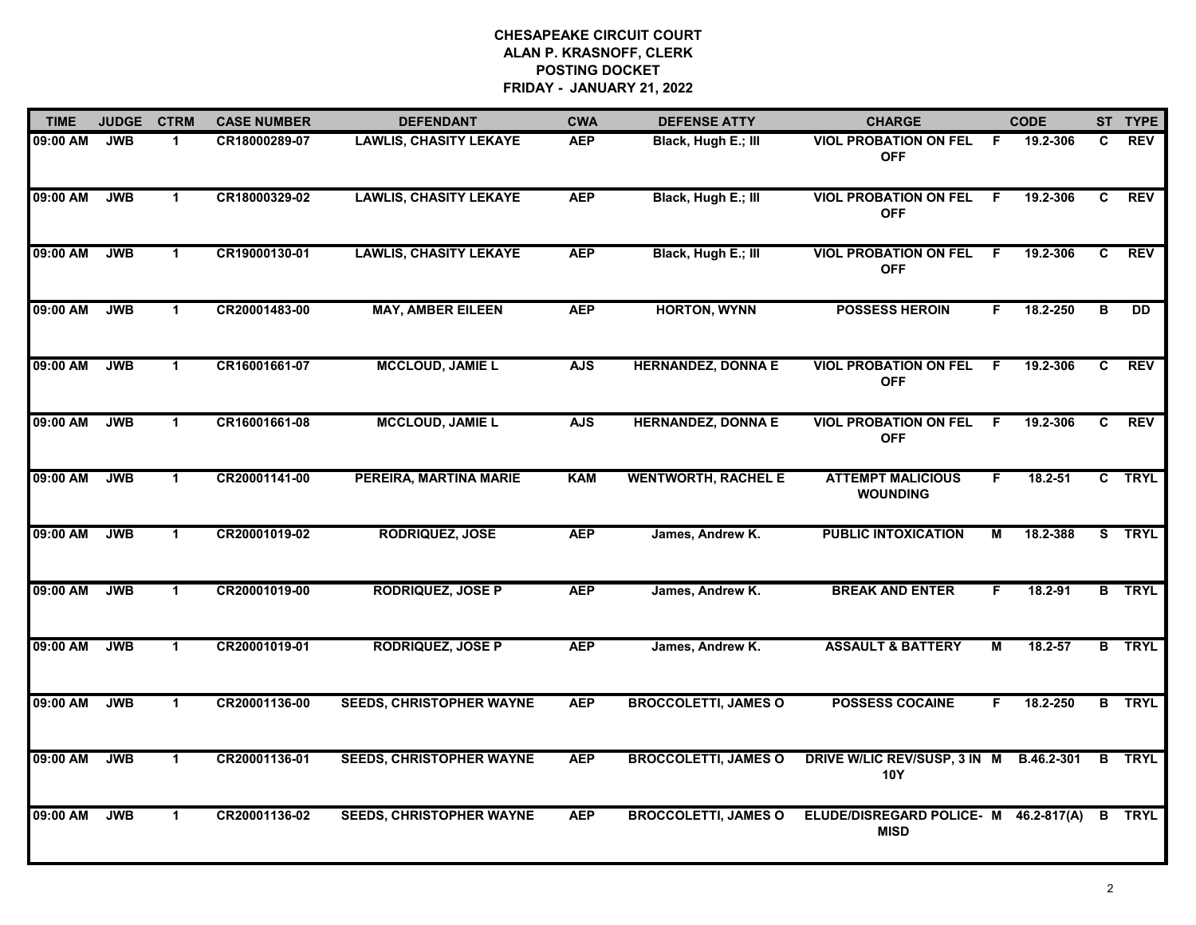| <b>TIME</b> | <b>JUDGE</b> | <b>CTRM</b>  | <b>CASE NUMBER</b> | <b>DEFENDANT</b>                | <b>CWA</b> | <b>DEFENSE ATTY</b>         | <b>CHARGE</b>                                        | <b>CODE</b>      |    | ST TYPE       |
|-------------|--------------|--------------|--------------------|---------------------------------|------------|-----------------------------|------------------------------------------------------|------------------|----|---------------|
| 09:00 AM    | <b>JWB</b>   | $\mathbf{1}$ | CR18000289-07      | <b>LAWLIS, CHASITY LEKAYE</b>   | <b>AEP</b> | Black, Hugh E.; III         | <b>VIOL PROBATION ON FEL</b><br><b>OFF</b>           | F.<br>19.2-306   | C. | <b>REV</b>    |
| 09:00 AM    | <b>JWB</b>   | $\mathbf{1}$ | CR18000329-02      | <b>LAWLIS, CHASITY LEKAYE</b>   | <b>AEP</b> | Black, Hugh E.; III         | <b>VIOL PROBATION ON FEL</b><br><b>OFF</b>           | 19.2-306<br>F.   | C  | <b>REV</b>    |
| 09:00 AM    | <b>JWB</b>   | $\mathbf{1}$ | CR19000130-01      | <b>LAWLIS, CHASITY LEKAYE</b>   | <b>AEP</b> | Black, Hugh E.; III         | <b>VIOL PROBATION ON FEL</b><br><b>OFF</b>           | 19.2-306<br>F.   | C  | <b>REV</b>    |
| 09:00 AM    | <b>JWB</b>   | 1            | CR20001483-00      | <b>MAY, AMBER EILEEN</b>        | <b>AEP</b> | <b>HORTON, WYNN</b>         | <b>POSSESS HEROIN</b>                                | 18.2-250<br>F.   | в  | <b>DD</b>     |
| 09:00 AM    | <b>JWB</b>   | $\mathbf 1$  | CR16001661-07      | <b>MCCLOUD, JAMIE L</b>         | <b>AJS</b> | <b>HERNANDEZ, DONNA E</b>   | <b>VIOL PROBATION ON FEL</b><br><b>OFF</b>           | F.<br>19.2-306   | C. | REV           |
| 09:00 AM    | <b>JWB</b>   | $\mathbf 1$  | CR16001661-08      | <b>MCCLOUD, JAMIE L</b>         | <b>AJS</b> | <b>HERNANDEZ, DONNA E</b>   | <b>VIOL PROBATION ON FEL</b><br><b>OFF</b>           | 19.2-306<br>F.   | C. | <b>REV</b>    |
| 09:00 AM    | <b>JWB</b>   | $\mathbf{1}$ | CR20001141-00      | PEREIRA, MARTINA MARIE          | <b>KAM</b> | <b>WENTWORTH, RACHEL E</b>  | <b>ATTEMPT MALICIOUS</b><br><b>WOUNDING</b>          | F<br>$18.2 - 51$ |    | C TRYL        |
| 09:00 AM    | <b>JWB</b>   | $\mathbf 1$  | CR20001019-02      | <b>RODRIQUEZ, JOSE</b>          | <b>AEP</b> | James, Andrew K.            | <b>PUBLIC INTOXICATION</b>                           | М<br>18.2-388    |    | S TRYL        |
| 09:00 AM    | <b>JWB</b>   | $\mathbf 1$  | CR20001019-00      | <b>RODRIQUEZ, JOSE P</b>        | <b>AEP</b> | James, Andrew K.            | <b>BREAK AND ENTER</b>                               | 18.2-91<br>F     |    | <b>B</b> TRYL |
| 09:00 AM    | <b>JWB</b>   | $\mathbf{1}$ | CR20001019-01      | <b>RODRIQUEZ, JOSE P</b>        | <b>AEP</b> | James, Andrew K.            | <b>ASSAULT &amp; BATTERY</b>                         | 18.2-57<br>Μ     |    | <b>B</b> TRYL |
| 09:00 AM    | <b>JWB</b>   | $\mathbf{1}$ | CR20001136-00      | <b>SEEDS, CHRISTOPHER WAYNE</b> | <b>AEP</b> | <b>BROCCOLETTI, JAMES O</b> | <b>POSSESS COCAINE</b>                               | 18.2-250<br>F.   |    | <b>B</b> TRYL |
| 09:00 AM    | <b>JWB</b>   | $\mathbf{1}$ | CR20001136-01      | <b>SEEDS, CHRISTOPHER WAYNE</b> | <b>AEP</b> | <b>BROCCOLETTI, JAMES O</b> | DRIVE W/LIC REV/SUSP, 3 IN M<br><b>10Y</b>           | B.46.2-301       |    | <b>B</b> TRYL |
| 09:00 AM    | <b>JWB</b>   | $\mathbf{1}$ | CR20001136-02      | <b>SEEDS, CHRISTOPHER WAYNE</b> | <b>AEP</b> | <b>BROCCOLETTI, JAMES O</b> | ELUDE/DISREGARD POLICE- M 46.2-817(A)<br><b>MISD</b> |                  |    | <b>B</b> TRYL |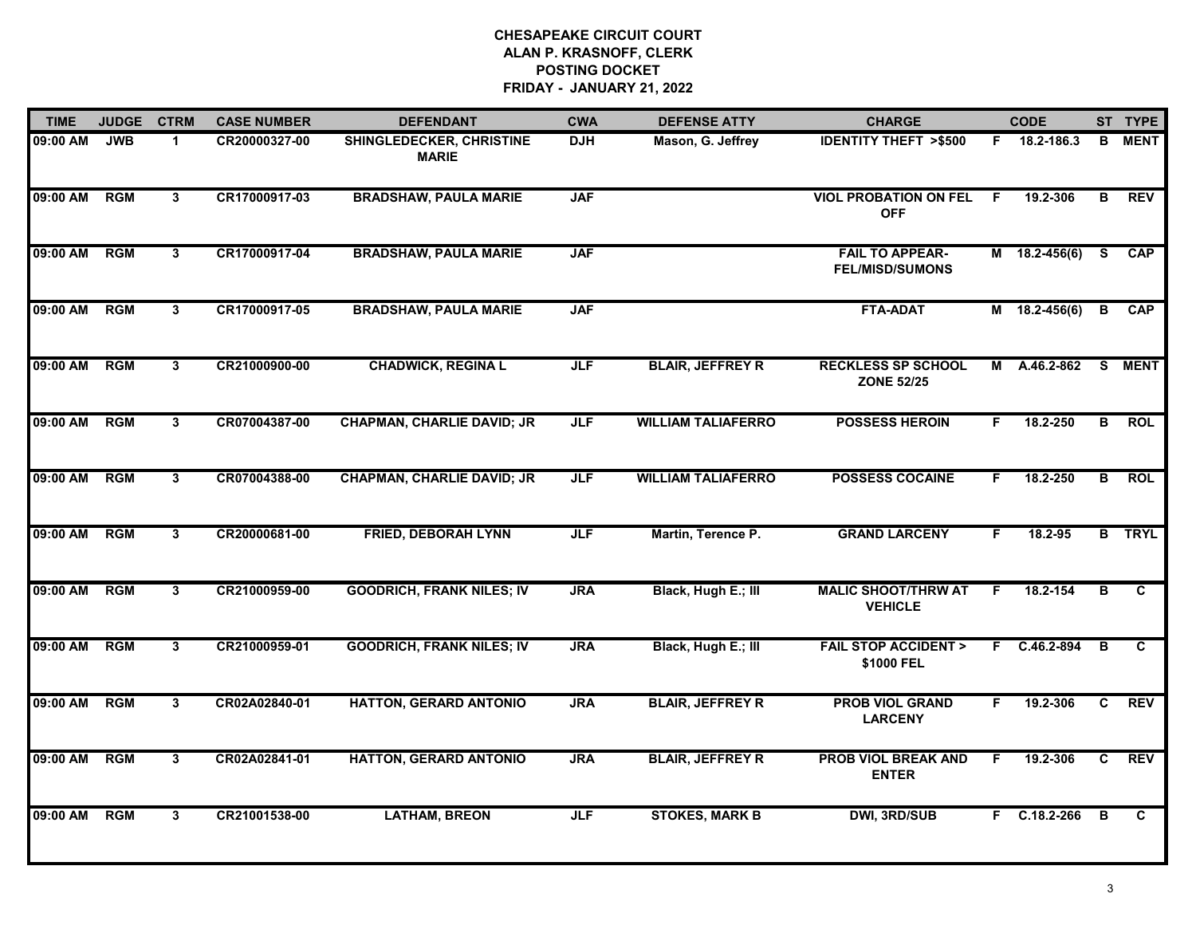| <b>TIME</b> | <b>JUDGE</b> | <b>CTRM</b>  | <b>CASE NUMBER</b> | <b>DEFENDANT</b>                                | <b>CWA</b> | <b>DEFENSE ATTY</b>       | <b>CHARGE</b>                                    |    | <b>CODE</b>     |              | ST TYPE       |
|-------------|--------------|--------------|--------------------|-------------------------------------------------|------------|---------------------------|--------------------------------------------------|----|-----------------|--------------|---------------|
| 09:00 AM    | <b>JWB</b>   | $\mathbf{1}$ | CR20000327-00      | <b>SHINGLEDECKER, CHRISTINE</b><br><b>MARIE</b> | <b>DJH</b> | Mason, G. Jeffrey         | <b>IDENTITY THEFT &gt;\$500</b>                  |    | F 18.2-186.3    | B.           | <b>MENT</b>   |
| 09:00 AM    | RGM          | 3            | CR17000917-03      | <b>BRADSHAW, PAULA MARIE</b>                    | <b>JAF</b> |                           | <b>VIOL PROBATION ON FEL</b><br><b>OFF</b>       | E  | 19.2-306        | B            | <b>REV</b>    |
| 09:00 AM    | <b>RGM</b>   | $\mathbf{3}$ | CR17000917-04      | <b>BRADSHAW, PAULA MARIE</b>                    | <b>JAF</b> |                           | <b>FAIL TO APPEAR-</b><br><b>FEL/MISD/SUMONS</b> |    | $M$ 18.2-456(6) | <b>S</b>     | <b>CAP</b>    |
| 09:00 AM    | <b>RGM</b>   | 3            | CR17000917-05      | <b>BRADSHAW, PAULA MARIE</b>                    | <b>JAF</b> |                           | <b>FTA-ADAT</b>                                  |    | $M$ 18.2-456(6) | B            | <b>CAP</b>    |
| 09:00 AM    | RGM          | 3            | CR21000900-00      | <b>CHADWICK, REGINA L</b>                       | <b>JLF</b> | <b>BLAIR, JEFFREY R</b>   | <b>RECKLESS SP SCHOOL</b><br><b>ZONE 52/25</b>   | М  | A.46.2-862      | S.           | <b>MENT</b>   |
| 09:00 AM    | <b>RGM</b>   | $\mathbf{3}$ | CR07004387-00      | <b>CHAPMAN, CHARLIE DAVID; JR</b>               | <b>JLF</b> | <b>WILLIAM TALIAFERRO</b> | <b>POSSESS HEROIN</b>                            | F. | 18.2-250        | B            | <b>ROL</b>    |
| 09:00 AM    | RGM          | 3            | CR07004388-00      | <b>CHAPMAN, CHARLIE DAVID; JR</b>               | <b>JLF</b> | <b>WILLIAM TALIAFERRO</b> | <b>POSSESS COCAINE</b>                           | F. | 18.2-250        | В            | <b>ROL</b>    |
| 09:00 AM    | <b>RGM</b>   | $\mathbf{3}$ | CR20000681-00      | <b>FRIED, DEBORAH LYNN</b>                      | <b>JLF</b> | Martin, Terence P.        | <b>GRAND LARCENY</b>                             | F. | 18.2-95         |              | <b>B</b> TRYL |
| 09:00 AM    | <b>RGM</b>   | 3            | CR21000959-00      | <b>GOODRICH, FRANK NILES; IV</b>                | <b>JRA</b> | Black, Hugh E.; III       | <b>MALIC SHOOT/THRW AT</b><br><b>VEHICLE</b>     | F. | 18.2-154        | в            | C             |
| 09:00 AM    | RGM          | 3            | CR21000959-01      | <b>GOODRICH, FRANK NILES; IV</b>                | <b>JRA</b> | Black, Hugh E.; III       | <b>FAIL STOP ACCIDENT &gt;</b><br>\$1000 FEL     |    | F C.46.2-894    | в            | C             |
| 09:00 AM    | <b>RGM</b>   | 3            | CR02A02840-01      | <b>HATTON, GERARD ANTONIO</b>                   | <b>JRA</b> | <b>BLAIR, JEFFREY R</b>   | <b>PROB VIOL GRAND</b><br><b>LARCENY</b>         | F. | 19.2-306        | C            | <b>REV</b>    |
| 09:00 AM    | RGM          | 3            | CR02A02841-01      | <b>HATTON, GERARD ANTONIO</b>                   | <b>JRA</b> | <b>BLAIR, JEFFREY R</b>   | <b>PROB VIOL BREAK AND</b><br><b>ENTER</b>       | F. | 19.2-306        | C            | REV           |
| 09:00 AM    | <b>RGM</b>   | $\mathbf{3}$ | CR21001538-00      | <b>LATHAM, BREON</b>                            | JLF        | <b>STOKES, MARK B</b>     | <b>DWI, 3RD/SUB</b>                              |    | $F$ C.18.2-266  | $\mathbf{B}$ | C             |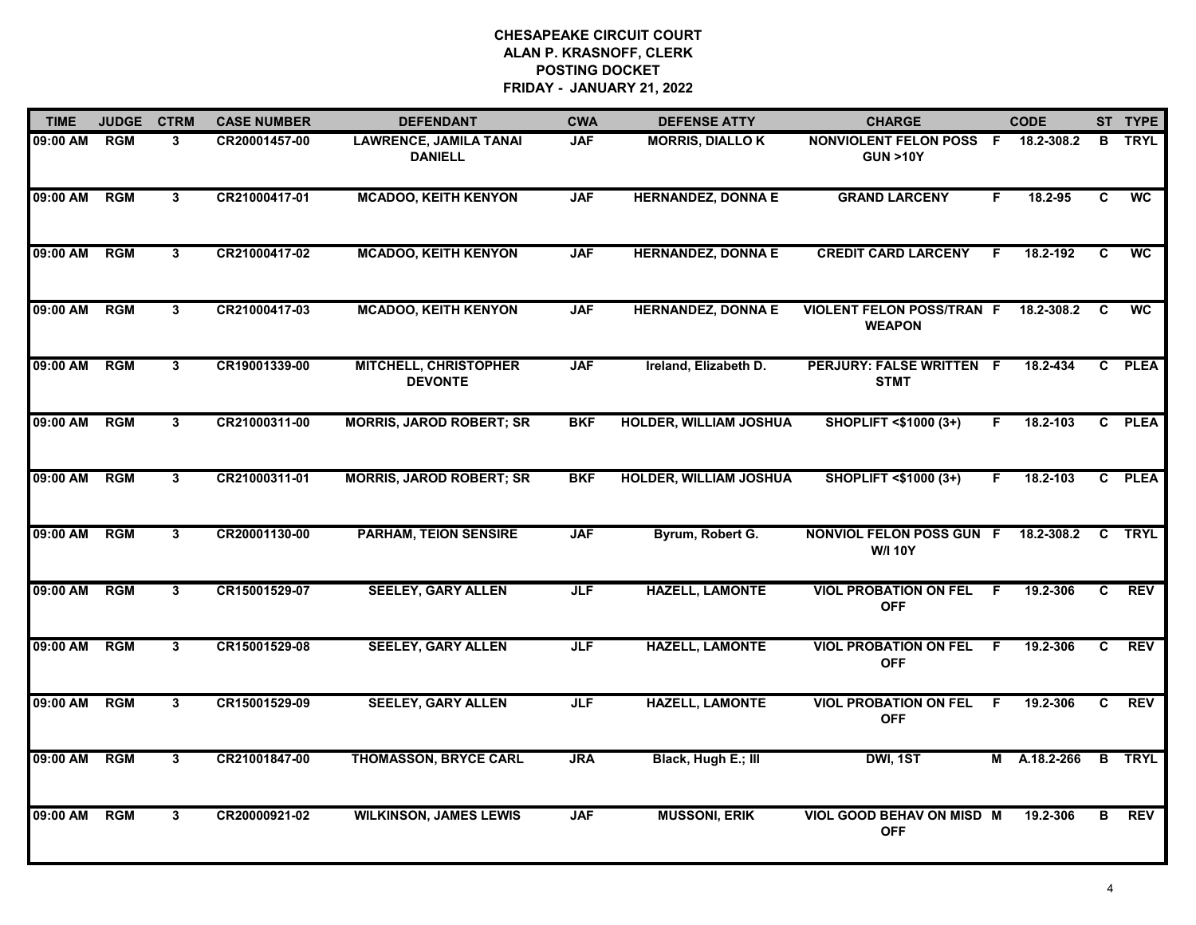| <b>TIME</b> | <b>JUDGE</b> | <b>CTRM</b>  | <b>CASE NUMBER</b> | <b>DEFENDANT</b>                                | <b>CWA</b> | <b>DEFENSE ATTY</b>           | <b>CHARGE</b>                                     |    | <b>CODE</b>  |                | ST TYPE       |
|-------------|--------------|--------------|--------------------|-------------------------------------------------|------------|-------------------------------|---------------------------------------------------|----|--------------|----------------|---------------|
| 09:00 AM    | <b>RGM</b>   | $\mathbf{3}$ | CR20001457-00      | <b>LAWRENCE, JAMILA TANAI</b><br><b>DANIELL</b> | <b>JAF</b> | <b>MORRIS, DIALLOK</b>        | NONVIOLENT FELON POSS F<br><b>GUN &gt;10Y</b>     |    | 18.2-308.2   |                | <b>B</b> TRYL |
| 09:00 AM    | <b>RGM</b>   | $\mathbf{3}$ | CR21000417-01      | <b>MCADOO, KEITH KENYON</b>                     | <b>JAF</b> | <b>HERNANDEZ, DONNA E</b>     | <b>GRAND LARCENY</b>                              | F. | 18.2-95      | $\overline{c}$ | <b>WC</b>     |
| 09:00 AM    | <b>RGM</b>   | $\mathbf{3}$ | CR21000417-02      | <b>MCADOO, KEITH KENYON</b>                     | <b>JAF</b> | <b>HERNANDEZ, DONNA E</b>     | <b>CREDIT CARD LARCENY</b>                        | F. | 18.2-192     | $\mathbf{c}$   | <b>WC</b>     |
| 09:00 AM    | <b>RGM</b>   | $\mathbf{3}$ | CR21000417-03      | <b>MCADOO, KEITH KENYON</b>                     | <b>JAF</b> | <b>HERNANDEZ, DONNA E</b>     | <b>VIOLENT FELON POSS/TRAN F</b><br><b>WEAPON</b> |    | 18.2-308.2   | C              | <b>WC</b>     |
| 09:00 AM    | <b>RGM</b>   | $\mathbf{3}$ | CR19001339-00      | <b>MITCHELL, CHRISTOPHER</b><br><b>DEVONTE</b>  | <b>JAF</b> | Ireland, Elizabeth D.         | PERJURY: FALSE WRITTEN F<br><b>STMT</b>           |    | 18.2-434     |                | C PLEA        |
| 09:00 AM    | <b>RGM</b>   | 3            | CR21000311-00      | <b>MORRIS, JAROD ROBERT; SR</b>                 | <b>BKF</b> | <b>HOLDER, WILLIAM JOSHUA</b> | SHOPLIFT <\$1000 (3+)                             | F. | 18.2-103     |                | C PLEA        |
| 09:00 AM    | <b>RGM</b>   | 3            | CR21000311-01      | <b>MORRIS, JAROD ROBERT; SR</b>                 | <b>BKF</b> | <b>HOLDER, WILLIAM JOSHUA</b> | SHOPLIFT <\$1000 (3+)                             | F. | 18.2-103     |                | C PLEA        |
| 09:00 AM    | <b>RGM</b>   | $\mathbf{3}$ | CR20001130-00      | <b>PARHAM, TEION SENSIRE</b>                    | <b>JAF</b> | Byrum, Robert G.              | NONVIOL FELON POSS GUN F<br><b>W/I 10Y</b>        |    | 18.2-308.2   |                | C TRYL        |
| 09:00 AM    | RGM          | 3            | CR15001529-07      | <b>SEELEY, GARY ALLEN</b>                       | <b>JLF</b> | <b>HAZELL, LAMONTE</b>        | <b>VIOL PROBATION ON FEL</b><br><b>OFF</b>        | E  | 19.2-306     | C.             | <b>REV</b>    |
| 09:00 AM    | <b>RGM</b>   | 3            | CR15001529-08      | <b>SEELEY, GARY ALLEN</b>                       | <b>JLF</b> | <b>HAZELL, LAMONTE</b>        | <b>VIOL PROBATION ON FEL</b><br><b>OFF</b>        | F. | 19.2-306     | C              | <b>REV</b>    |
| 09:00 AM    | <b>RGM</b>   | 3            | CR15001529-09      | <b>SEELEY, GARY ALLEN</b>                       | <b>JLF</b> | <b>HAZELL, LAMONTE</b>        | <b>VIOL PROBATION ON FEL</b><br><b>OFF</b>        | F. | 19.2-306     | C.             | <b>REV</b>    |
| 09:00 AM    | <b>RGM</b>   | 3            | CR21001847-00      | <b>THOMASSON, BRYCE CARL</b>                    | <b>JRA</b> | Black, Hugh E.; III           | DWI, 1ST                                          |    | M A.18.2-266 |                | <b>B</b> TRYL |
| 09:00 AM    | <b>RGM</b>   | $\mathbf{3}$ | CR20000921-02      | <b>WILKINSON, JAMES LEWIS</b>                   | <b>JAF</b> | <b>MUSSONI, ERIK</b>          | VIOL GOOD BEHAV ON MISD M<br><b>OFF</b>           |    | 19.2-306     | в              | <b>REV</b>    |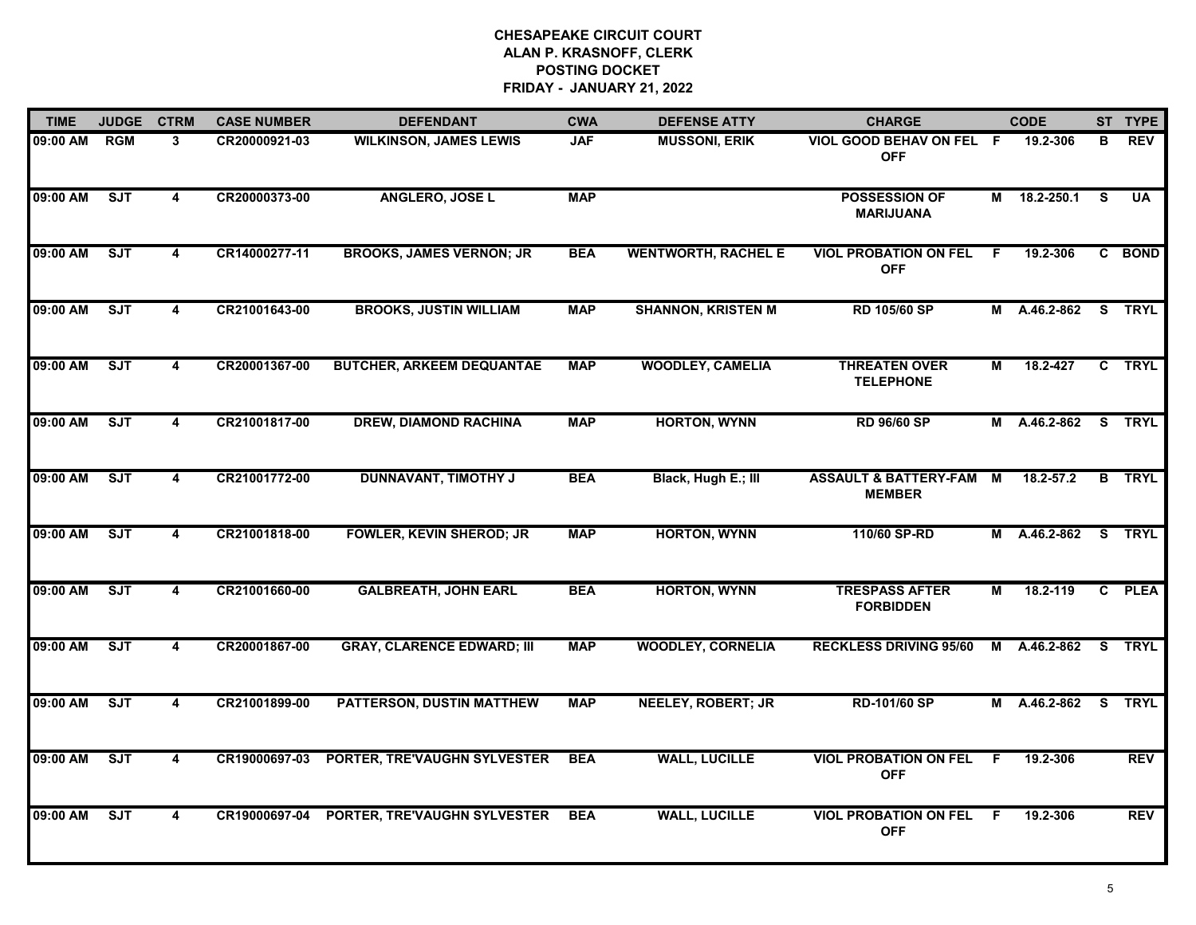| <b>TIME</b> | <b>JUDGE</b> | <b>CTRM</b>             | <b>CASE NUMBER</b> | <b>DEFENDANT</b>                  | <b>CWA</b> | <b>DEFENSE ATTY</b>        | <b>CHARGE</b>                                       |    | <b>CODE</b>  |          | ST TYPE       |
|-------------|--------------|-------------------------|--------------------|-----------------------------------|------------|----------------------------|-----------------------------------------------------|----|--------------|----------|---------------|
| 09:00 AM    | <b>RGM</b>   | 3                       | CR20000921-03      | <b>WILKINSON, JAMES LEWIS</b>     | <b>JAF</b> | <b>MUSSONI, ERIK</b>       | VIOL GOOD BEHAV ON FEL F<br><b>OFF</b>              |    | 19.2-306     | в        | <b>REV</b>    |
| 09:00 AM    | ST           | 4                       | CR20000373-00      | <b>ANGLERO, JOSE L</b>            | <b>MAP</b> |                            | <b>POSSESSION OF</b><br><b>MARIJUANA</b>            |    | M 18.2-250.1 | <b>S</b> | <b>UA</b>     |
| 09:00 AM    | SJT          | $\overline{\mathbf{4}}$ | CR14000277-11      | <b>BROOKS, JAMES VERNON; JR</b>   | <b>BEA</b> | <b>WENTWORTH, RACHEL E</b> | <b>VIOL PROBATION ON FEL</b><br><b>OFF</b>          | F. | 19.2-306     |          | C BOND        |
| 09:00 AM    | SJT          | 4                       | CR21001643-00      | <b>BROOKS, JUSTIN WILLIAM</b>     | <b>MAP</b> | <b>SHANNON, KRISTEN M</b>  | RD 105/60 SP                                        |    | M A.46.2-862 |          | S TRYL        |
| 09:00 AM    | ST           | 4                       | CR20001367-00      | <b>BUTCHER, ARKEEM DEQUANTAE</b>  | <b>MAP</b> | <b>WOODLEY, CAMELIA</b>    | <b>THREATEN OVER</b><br><b>TELEPHONE</b>            | М  | 18.2-427     |          | C TRYL        |
| 09:00 AM    | ST           | 4                       | CR21001817-00      | <b>DREW, DIAMOND RACHINA</b>      | <b>MAP</b> | <b>HORTON, WYNN</b>        | <b>RD 96/60 SP</b>                                  |    | M A.46.2-862 |          | S TRYL        |
| 09:00 AM    | ST           | 4                       | CR21001772-00      | <b>DUNNAVANT, TIMOTHY J</b>       | <b>BEA</b> | Black, Hugh E.; III        | <b>ASSAULT &amp; BATTERY-FAM M</b><br><b>MEMBER</b> |    | 18.2-57.2    |          | <b>B</b> TRYL |
| 09:00 AM    | SJT          | 4                       | CR21001818-00      | <b>FOWLER, KEVIN SHEROD; JR</b>   | <b>MAP</b> | <b>HORTON, WYNN</b>        | 110/60 SP-RD                                        | M  | A.46.2-862   |          | S TRYL        |
| 09:00 AM    | SJT          | 4                       | CR21001660-00      | <b>GALBREATH, JOHN EARL</b>       | <b>BEA</b> | <b>HORTON, WYNN</b>        | <b>TRESPASS AFTER</b><br><b>FORBIDDEN</b>           | М  | 18.2-119     |          | C PLEA        |
| 09:00 AM    | ST           | 4                       | CR20001867-00      | <b>GRAY, CLARENCE EDWARD; III</b> | <b>MAP</b> | <b>WOODLEY, CORNELIA</b>   | <b>RECKLESS DRIVING 95/60</b>                       |    | M A.46.2-862 | S.       | <b>TRYL</b>   |
| 09:00 AM    | ST           | 4                       | CR21001899-00      | PATTERSON, DUSTIN MATTHEW         | <b>MAP</b> | <b>NEELEY, ROBERT; JR</b>  | RD-101/60 SP                                        |    | M A.46.2-862 | S.       | <b>TRYL</b>   |
| 09:00 AM    | ST           | 4                       | CR19000697-03      | PORTER, TRE'VAUGHN SYLVESTER      | <b>BEA</b> | <b>WALL, LUCILLE</b>       | <b>VIOL PROBATION ON FEL</b><br><b>OFF</b>          | F. | 19.2-306     |          | <b>REV</b>    |
| 09:00 AM    | SJT          | 4                       | CR19000697-04      | PORTER, TRE'VAUGHN SYLVESTER      | <b>BEA</b> | <b>WALL, LUCILLE</b>       | <b>VIOL PROBATION ON FEL</b><br><b>OFF</b>          | F  | 19.2-306     |          | <b>REV</b>    |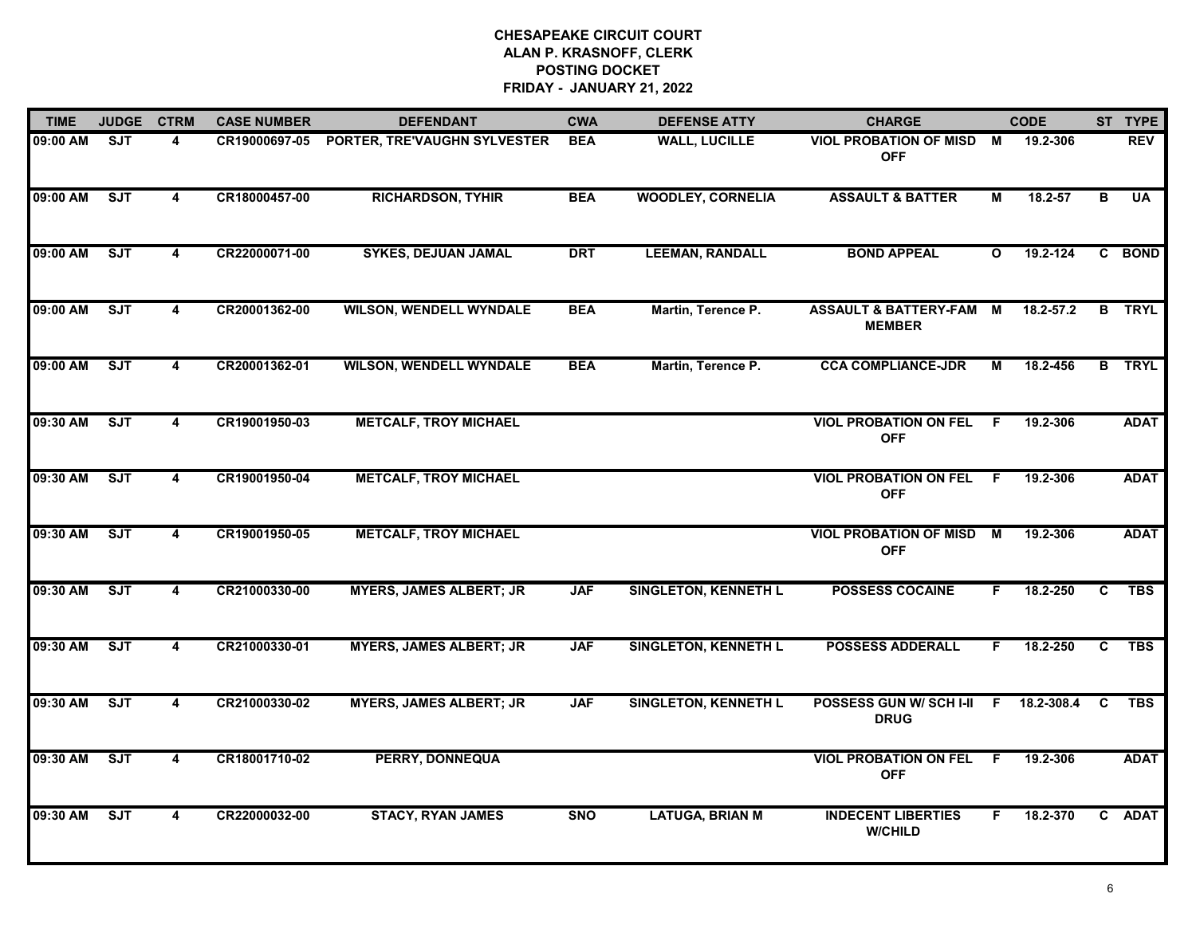| <b>TIME</b> | <b>JUDGE</b> | <b>CTRM</b>             | <b>CASE NUMBER</b> | <b>DEFENDANT</b>               | <b>CWA</b> | <b>DEFENSE ATTY</b>         | <b>CHARGE</b>                                     |              | <b>CODE</b> |   | ST TYPE       |
|-------------|--------------|-------------------------|--------------------|--------------------------------|------------|-----------------------------|---------------------------------------------------|--------------|-------------|---|---------------|
| 09:00 AM    | ST           | 4                       | CR19000697-05      | PORTER, TRE'VAUGHN SYLVESTER   | <b>BEA</b> | <b>WALL, LUCILLE</b>        | <b>VIOL PROBATION OF MISD</b><br><b>OFF</b>       | M            | 19.2-306    |   | <b>REV</b>    |
| 09:00 AM    | SJT          | $\overline{4}$          | CR18000457-00      | <b>RICHARDSON, TYHIR</b>       | <b>BEA</b> | <b>WOODLEY, CORNELIA</b>    | <b>ASSAULT &amp; BATTER</b>                       | М            | 18.2-57     | B | UA            |
| 09:00 AM    | ST           | 4                       | CR22000071-00      | <b>SYKES, DEJUAN JAMAL</b>     | <b>DRT</b> | <b>LEEMAN, RANDALL</b>      | <b>BOND APPEAL</b>                                | $\mathbf{o}$ | 19.2-124    |   | C BOND        |
| 09:00 AM    | SJT          | 4                       | CR20001362-00      | <b>WILSON, WENDELL WYNDALE</b> | <b>BEA</b> | Martin, Terence P.          | <b>ASSAULT &amp; BATTERY-FAM</b><br><b>MEMBER</b> | M            | 18.2-57.2   |   | <b>B</b> TRYL |
| 09:00 AM    | ST           | 4                       | CR20001362-01      | <b>WILSON, WENDELL WYNDALE</b> | <b>BEA</b> | Martin, Terence P.          | <b>CCA COMPLIANCE-JDR</b>                         | М            | 18.2-456    |   | <b>B</b> TRYL |
| 09:30 AM    | ST           | 4                       | CR19001950-03      | <b>METCALF, TROY MICHAEL</b>   |            |                             | <b>VIOL PROBATION ON FEL</b><br><b>OFF</b>        | - F          | 19.2-306    |   | <b>ADAT</b>   |
| 09:30 AM    | ST           | 4                       | CR19001950-04      | <b>METCALF, TROY MICHAEL</b>   |            |                             | <b>VIOL PROBATION ON FEL</b><br><b>OFF</b>        | -F           | 19.2-306    |   | <b>ADAT</b>   |
| 09:30 AM    | SJT          | 4                       | CR19001950-05      | <b>METCALF, TROY MICHAEL</b>   |            |                             | <b>VIOL PROBATION OF MISD</b><br><b>OFF</b>       | М            | 19.2-306    |   | <b>ADAT</b>   |
| 09:30 AM    | SJT          | 4                       | CR21000330-00      | <b>MYERS, JAMES ALBERT; JR</b> | <b>JAF</b> | <b>SINGLETON, KENNETH L</b> | <b>POSSESS COCAINE</b>                            | E            | 18.2-250    | C | TBS           |
| 09:30 AM    | SJT          | 4                       | CR21000330-01      | <b>MYERS, JAMES ALBERT; JR</b> | <b>JAF</b> | <b>SINGLETON, KENNETH L</b> | <b>POSSESS ADDERALL</b>                           | F.           | 18.2-250    | C | <b>TBS</b>    |
| 09:30 AM    | ST           | 4                       | CR21000330-02      | <b>MYERS, JAMES ALBERT; JR</b> | <b>JAF</b> | <b>SINGLETON, KENNETH L</b> | <b>POSSESS GUN W/ SCH I-II</b><br><b>DRUG</b>     | F.           | 18.2-308.4  | C | <b>TBS</b>    |
| 09:30 AM    | ST           | $\overline{\mathbf{4}}$ | CR18001710-02      | <b>PERRY, DONNEQUA</b>         |            |                             | <b>VIOL PROBATION ON FEL</b><br><b>OFF</b>        | F.           | 19.2-306    |   | <b>ADAT</b>   |
| 09:30 AM    | ST           | 4                       | CR22000032-00      | <b>STACY, RYAN JAMES</b>       | <b>SNO</b> | <b>LATUGA, BRIAN M</b>      | <b>INDECENT LIBERTIES</b><br><b>W/CHILD</b>       | F            | 18.2-370    |   | C ADAT        |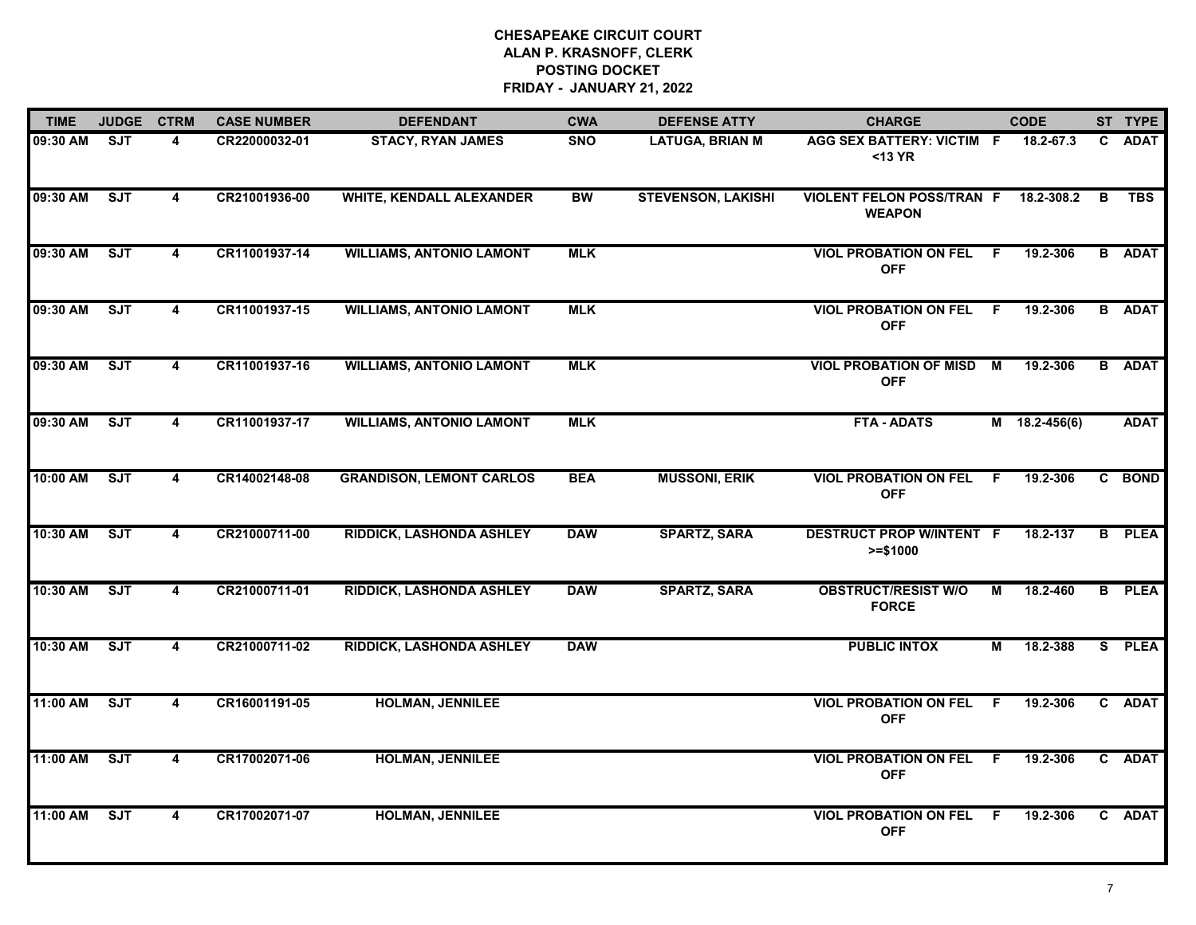| <b>TIME</b> | <b>JUDGE</b> | <b>CTRM</b>             | <b>CASE NUMBER</b> | <b>DEFENDANT</b>                | <b>CWA</b> | <b>DEFENSE ATTY</b>       | <b>CHARGE</b>                                     | <b>CODE</b>     |   | ST TYPE       |
|-------------|--------------|-------------------------|--------------------|---------------------------------|------------|---------------------------|---------------------------------------------------|-----------------|---|---------------|
| 09:30 AM    | SJT          | 4                       | CR22000032-01      | <b>STACY, RYAN JAMES</b>        | <b>SNO</b> | <b>LATUGA, BRIAN M</b>    | AGG SEX BATTERY: VICTIM F<br><13 YR               | 18.2-67.3       |   | C ADAT        |
| 09:30 AM    | SJT          | 4                       | CR21001936-00      | <b>WHITE, KENDALL ALEXANDER</b> | <b>BW</b>  | <b>STEVENSON, LAKISHI</b> | <b>VIOLENT FELON POSS/TRAN F</b><br><b>WEAPON</b> | 18.2-308.2      | B | <b>TBS</b>    |
| 09:30 AM    | <b>SJT</b>   | $\overline{4}$          | CR11001937-14      | <b>WILLIAMS, ANTONIO LAMONT</b> | <b>MLK</b> |                           | <b>VIOL PROBATION ON FEL</b><br><b>OFF</b>        | 19.2-306<br>F.  |   | <b>B</b> ADAT |
| 09:30 AM    | <b>SJT</b>   | 4                       | CR11001937-15      | <b>WILLIAMS, ANTONIO LAMONT</b> | <b>MLK</b> |                           | <b>VIOL PROBATION ON FEL</b><br><b>OFF</b>        | 19.2-306<br>- F |   | <b>B</b> ADAT |
| 09:30 AM    | SJT          | $\overline{\mathbf{4}}$ | CR11001937-16      | <b>WILLIAMS, ANTONIO LAMONT</b> | <b>MLK</b> |                           | <b>VIOL PROBATION OF MISD M</b><br><b>OFF</b>     | 19.2-306        |   | <b>B</b> ADAT |
| 09:30 AM    | SJT          | $\overline{4}$          | CR11001937-17      | <b>WILLIAMS, ANTONIO LAMONT</b> | <b>MLK</b> |                           | <b>FTA - ADATS</b>                                | $M$ 18.2-456(6) |   | <b>ADAT</b>   |
| 10:00 AM    | ST           | $\overline{\mathbf{4}}$ | CR14002148-08      | <b>GRANDISON, LEMONT CARLOS</b> | <b>BEA</b> | <b>MUSSONI, ERIK</b>      | <b>VIOL PROBATION ON FEL</b><br><b>OFF</b>        | 19.2-306<br>F.  |   | C BOND        |
| 10:30 AM    | SJT          | 4                       | CR21000711-00      | <b>RIDDICK, LASHONDA ASHLEY</b> | <b>DAW</b> | <b>SPARTZ, SARA</b>       | <b>DESTRUCT PROP W/INTENT F</b><br>$>= $1000$     | 18.2-137        |   | <b>B</b> PLEA |
| 10:30 AM    | ST           | 4                       | CR21000711-01      | <b>RIDDICK, LASHONDA ASHLEY</b> | <b>DAW</b> | <b>SPARTZ, SARA</b>       | <b>OBSTRUCT/RESIST W/O</b><br><b>FORCE</b>        | 18.2-460<br>М   |   | <b>B</b> PLEA |
| 10:30 AM    | ST           | 4                       | CR21000711-02      | <b>RIDDICK, LASHONDA ASHLEY</b> | <b>DAW</b> |                           | <b>PUBLIC INTOX</b>                               | 18.2-388<br>М   |   | S PLEA        |
| 11:00 AM    | SJT          | 4                       | CR16001191-05      | <b>HOLMAN, JENNILEE</b>         |            |                           | <b>VIOL PROBATION ON FEL</b><br><b>OFF</b>        | - F<br>19.2-306 |   | C ADAT        |
| 11:00 AM    | SJT          | $\overline{\mathbf{4}}$ | CR17002071-06      | <b>HOLMAN, JENNILEE</b>         |            |                           | <b>VIOL PROBATION ON FEL</b><br><b>OFF</b>        | 19.2-306<br>F.  |   | C ADAT        |
| 11:00 AM    | SJT          | 4                       | CR17002071-07      | <b>HOLMAN, JENNILEE</b>         |            |                           | <b>VIOL PROBATION ON FEL</b><br><b>OFF</b>        | 19.2-306<br>-F  |   | C ADAT        |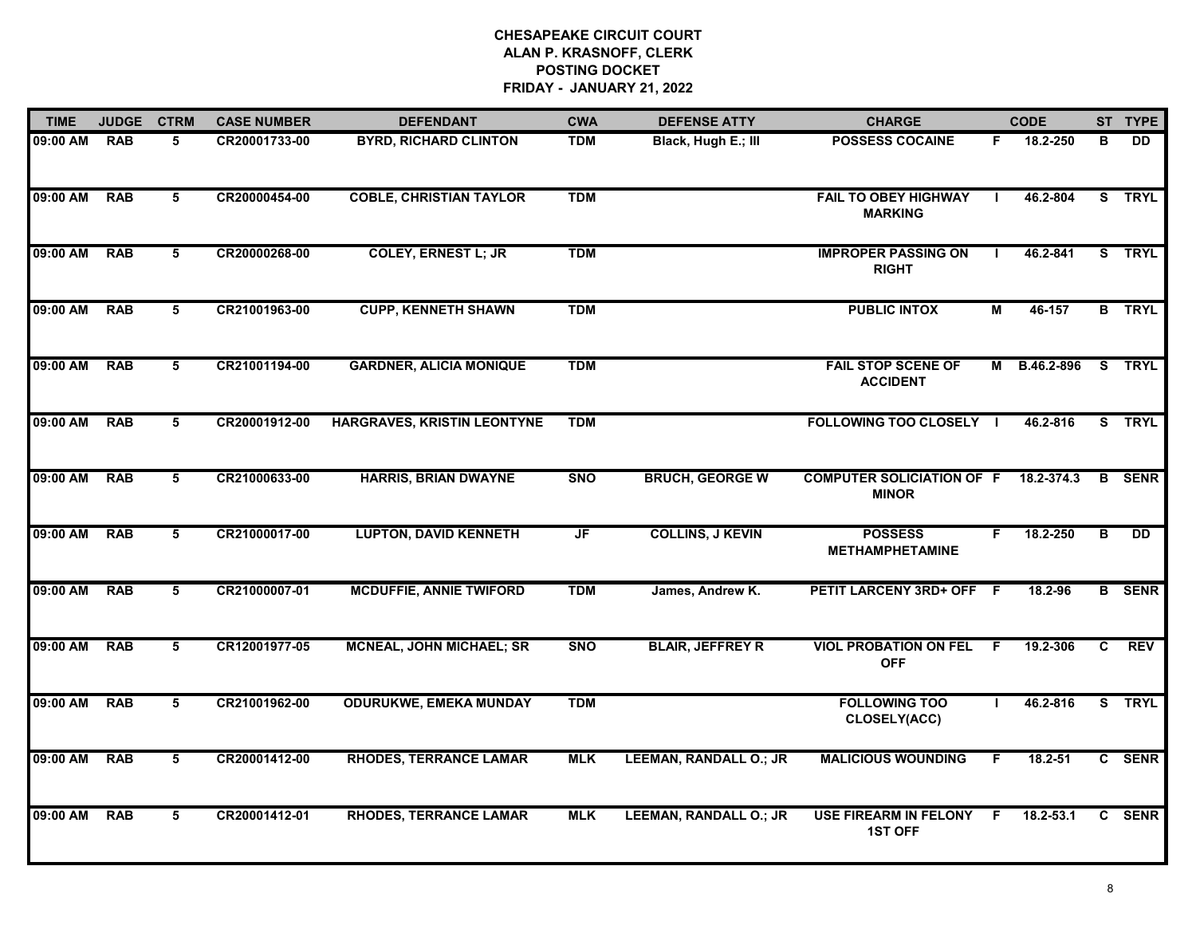| <b>TIME</b> | <b>JUDGE</b> | <b>CTRM</b> | <b>CASE NUMBER</b> | <b>DEFENDANT</b>                | <b>CWA</b> | <b>DEFENSE ATTY</b>           | <b>CHARGE</b>                                    |    | <b>CODE</b> |                | ST TYPE       |
|-------------|--------------|-------------|--------------------|---------------------------------|------------|-------------------------------|--------------------------------------------------|----|-------------|----------------|---------------|
| 09:00 AM    | <b>RAB</b>   | 5           | CR20001733-00      | <b>BYRD, RICHARD CLINTON</b>    | <b>TDM</b> | Black, Hugh E.; III           | <b>POSSESS COCAINE</b>                           | F. | 18.2-250    | в              | DD.           |
| 09:00 AM    | <b>RAB</b>   | 5           | CR20000454-00      | <b>COBLE, CHRISTIAN TAYLOR</b>  | <b>TDM</b> |                               | <b>FAIL TO OBEY HIGHWAY</b><br><b>MARKING</b>    |    | 46.2-804    |                | S TRYL        |
| 09:00 AM    | <b>RAB</b>   | 5           | CR20000268-00      | <b>COLEY, ERNEST L; JR</b>      | <b>TDM</b> |                               | <b>IMPROPER PASSING ON</b><br><b>RIGHT</b>       |    | 46.2-841    |                | S TRYL        |
| 09:00 AM    | <b>RAB</b>   | 5           | CR21001963-00      | <b>CUPP, KENNETH SHAWN</b>      | <b>TDM</b> |                               | <b>PUBLIC INTOX</b>                              | М  | 46-157      |                | <b>B</b> TRYL |
| 09:00 AM    | <b>RAB</b>   | 5           | CR21001194-00      | <b>GARDNER, ALICIA MONIQUE</b>  | <b>TDM</b> |                               | <b>FAIL STOP SCENE OF</b><br><b>ACCIDENT</b>     | М  | B.46.2-896  |                | S TRYL        |
| 09:00 AM    | <b>RAB</b>   | 5           | CR20001912-00      | HARGRAVES, KRISTIN LEONTYNE     | <b>TDM</b> |                               | <b>FOLLOWING TOO CLOSELY I</b>                   |    | 46.2-816    | S.             | <b>TRYL</b>   |
| 09:00 AM    | <b>RAB</b>   | 5           | CR21000633-00      | <b>HARRIS, BRIAN DWAYNE</b>     | <b>SNO</b> | <b>BRUCH, GEORGE W</b>        | <b>COMPUTER SOLICIATION OF F</b><br><b>MINOR</b> |    | 18.2-374.3  | B              | <b>SENR</b>   |
| 09:00 AM    | <b>RAB</b>   | 5           | CR21000017-00      | <b>LUPTON, DAVID KENNETH</b>    | JF         | <b>COLLINS, J KEVIN</b>       | <b>POSSESS</b><br><b>METHAMPHETAMINE</b>         | F. | 18.2-250    | B              | <b>DD</b>     |
| 09:00 AM    | <b>RAB</b>   | 5           | CR21000007-01      | <b>MCDUFFIE, ANNIE TWIFORD</b>  | <b>TDM</b> | James, Andrew K.              | PETIT LARCENY 3RD+ OFF F                         |    | 18.2-96     |                | <b>B</b> SENR |
| 09:00 AM    | <b>RAB</b>   | 5           | CR12001977-05      | <b>MCNEAL, JOHN MICHAEL; SR</b> | <b>SNO</b> | <b>BLAIR, JEFFREY R</b>       | <b>VIOL PROBATION ON FEL F</b><br><b>OFF</b>     |    | 19.2-306    | $\overline{c}$ | <b>REV</b>    |
| 09:00 AM    | <b>RAB</b>   | 5           | CR21001962-00      | <b>ODURUKWE, EMEKA MUNDAY</b>   | <b>TDM</b> |                               | <b>FOLLOWING TOO</b><br>CLOSELY(ACC)             |    | 46.2-816    |                | S TRYL        |
| 09:00 AM    | <b>RAB</b>   | 5           | CR20001412-00      | <b>RHODES, TERRANCE LAMAR</b>   | <b>MLK</b> | <b>LEEMAN, RANDALL O.; JR</b> | <b>MALICIOUS WOUNDING</b>                        | F  | 18.2-51     |                | C SENR        |
| 09:00 AM    | <b>RAB</b>   | 5           | CR20001412-01      | <b>RHODES, TERRANCE LAMAR</b>   | <b>MLK</b> | <b>LEEMAN, RANDALL O.; JR</b> | <b>USE FIREARM IN FELONY</b><br><b>1ST OFF</b>   | F  | 18.2-53.1   |                | C SENR        |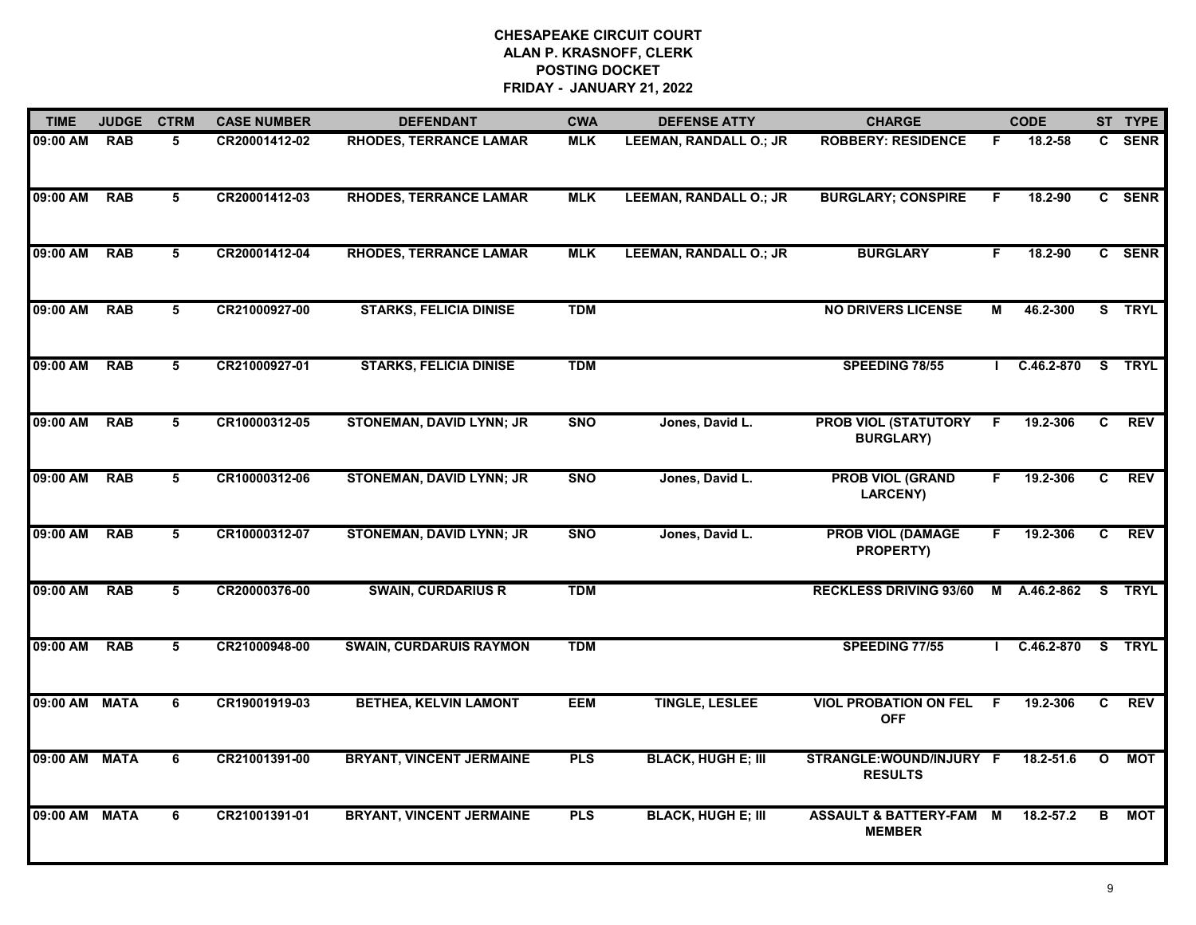| <b>TIME</b> | <b>JUDGE</b> | <b>CTRM</b> | <b>CASE NUMBER</b> | <b>DEFENDANT</b>                | <b>CWA</b> | <b>DEFENSE ATTY</b>           | <b>CHARGE</b>                                       |              | <b>CODE</b>    |              | ST TYPE     |
|-------------|--------------|-------------|--------------------|---------------------------------|------------|-------------------------------|-----------------------------------------------------|--------------|----------------|--------------|-------------|
| 09:00 AM    | <b>RAB</b>   | 5           | CR20001412-02      | <b>RHODES, TERRANCE LAMAR</b>   | <b>MLK</b> | <b>LEEMAN, RANDALL O.; JR</b> | <b>ROBBERY: RESIDENCE</b>                           | F.           | 18.2-58        |              | C SENR      |
| 09:00 AM    | <b>RAB</b>   | 5           | CR20001412-03      | <b>RHODES, TERRANCE LAMAR</b>   | <b>MLK</b> | <b>LEEMAN, RANDALL O.; JR</b> | <b>BURGLARY; CONSPIRE</b>                           | F.           | 18.2-90        |              | C SENR      |
| 09:00 AM    | <b>RAB</b>   | 5           | CR20001412-04      | <b>RHODES, TERRANCE LAMAR</b>   | <b>MLK</b> | <b>LEEMAN, RANDALL O.; JR</b> | <b>BURGLARY</b>                                     | F.           | 18.2-90        |              | C SENR      |
| 09:00 AM    | <b>RAB</b>   | 5           | CR21000927-00      | <b>STARKS, FELICIA DINISE</b>   | <b>TDM</b> |                               | <b>NO DRIVERS LICENSE</b>                           | М            | 46.2-300       |              | S TRYL      |
| 09:00 AM    | <b>RAB</b>   | 5           | CR21000927-01      | <b>STARKS, FELICIA DINISE</b>   | <b>TDM</b> |                               | <b>SPEEDING 78/55</b>                               | $\mathbf{L}$ | C.46.2-870     |              | S TRYL      |
| 09:00 AM    | <b>RAB</b>   | 5           | CR10000312-05      | <b>STONEMAN, DAVID LYNN; JR</b> | <b>SNO</b> | Jones, David L.               | <b>PROB VIOL (STATUTORY</b><br><b>BURGLARY)</b>     | F            | 19.2-306       | C.           | <b>REV</b>  |
| 09:00 AM    | <b>RAB</b>   | 5           | CR10000312-06      | <b>STONEMAN, DAVID LYNN; JR</b> | <b>SNO</b> | Jones, David L.               | <b>PROB VIOL (GRAND</b><br><b>LARCENY)</b>          | F            | 19.2-306       | C            | <b>REV</b>  |
| 09:00 AM    | <b>RAB</b>   | $5^{\circ}$ | CR10000312-07      | <b>STONEMAN, DAVID LYNN; JR</b> | <b>SNO</b> | Jones, David L.               | <b>PROB VIOL (DAMAGE</b><br>PROPERTY)               | F.           | 19.2-306       | C.           | <b>REV</b>  |
| 09:00 AM    | <b>RAB</b>   | 5           | CR20000376-00      | <b>SWAIN, CURDARIUS R</b>       | <b>TDM</b> |                               | <b>RECKLESS DRIVING 93/60</b>                       | M            | A.46.2-862     | S.           | <b>TRYL</b> |
| 09:00 AM    | <b>RAB</b>   | 5           | CR21000948-00      | <b>SWAIN, CURDARUIS RAYMON</b>  | <b>TDM</b> |                               | <b>SPEEDING 77/55</b>                               |              | $C.46.2 - 870$ |              | S TRYL      |
| 09:00 AM    | <b>MATA</b>  | 6           | CR19001919-03      | <b>BETHEA, KELVIN LAMONT</b>    | <b>EEM</b> | <b>TINGLE, LESLEE</b>         | <b>VIOL PROBATION ON FEL</b><br><b>OFF</b>          | -F           | 19.2-306       | C            | <b>REV</b>  |
| 09:00 AM    | <b>MATA</b>  | 6           | CR21001391-00      | <b>BRYANT, VINCENT JERMAINE</b> | <b>PLS</b> | <b>BLACK, HUGH E; III</b>     | STRANGLE: WOUND/INJURY F<br><b>RESULTS</b>          |              | 18.2-51.6      | $\mathbf{o}$ | <b>MOT</b>  |
| 09:00 AM    | <b>MATA</b>  | 6           | CR21001391-01      | <b>BRYANT, VINCENT JERMAINE</b> | <b>PLS</b> | <b>BLACK, HUGH E; III</b>     | <b>ASSAULT &amp; BATTERY-FAM M</b><br><b>MEMBER</b> |              | 18.2-57.2      | B            | MOT         |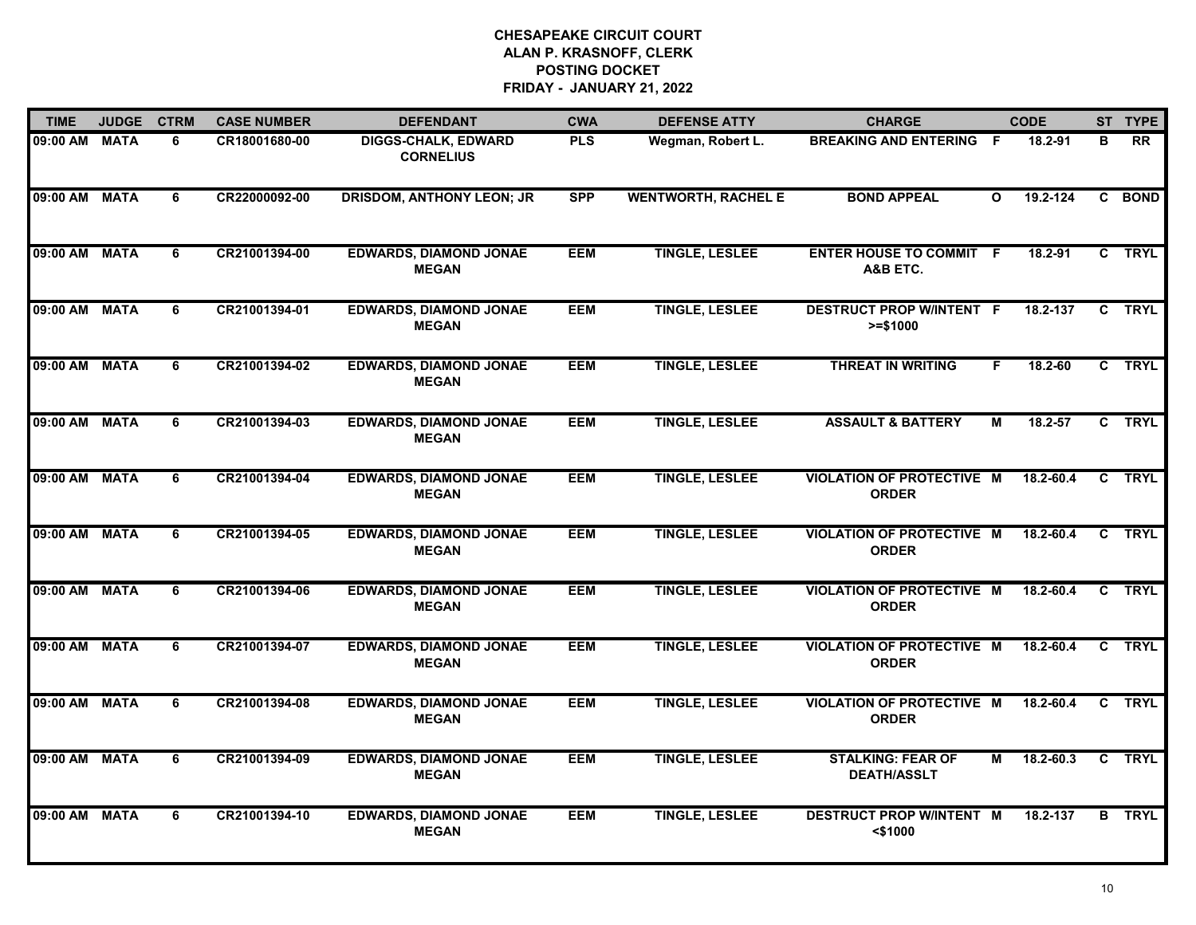| <b>TIME</b>   | <b>JUDGE</b> | <b>CTRM</b>    | <b>CASE NUMBER</b> | <b>DEFENDANT</b>                               | <b>CWA</b> | <b>DEFENSE ATTY</b>        | <b>CHARGE</b>                                    |              | <b>CODE</b>   |              | ST TYPE       |
|---------------|--------------|----------------|--------------------|------------------------------------------------|------------|----------------------------|--------------------------------------------------|--------------|---------------|--------------|---------------|
| 09:00 AM      | <b>MATA</b>  | 6              | CR18001680-00      | <b>DIGGS-CHALK, EDWARD</b><br><b>CORNELIUS</b> | <b>PLS</b> | Wegman, Robert L.          | <b>BREAKING AND ENTERING F</b>                   |              | 18.2-91       | В            | <b>RR</b>     |
| 09:00 AM      | <b>MATA</b>  | 6              | CR22000092-00      | <b>DRISDOM, ANTHONY LEON; JR</b>               | <b>SPP</b> | <b>WENTWORTH, RACHEL E</b> | <b>BOND APPEAL</b>                               | $\mathbf{o}$ | 19.2-124      |              | C BOND        |
| 09:00 AM      | <b>MATA</b>  | 6              | CR21001394-00      | <b>EDWARDS, DIAMOND JONAE</b><br><b>MEGAN</b>  | <b>EEM</b> | <b>TINGLE, LESLEE</b>      | <b>ENTER HOUSE TO COMMIT F</b><br>A&B ETC.       |              | 18.2-91       |              | C TRYL        |
| 09:00 AM      | <b>MATA</b>  | 6              | CR21001394-01      | <b>EDWARDS, DIAMOND JONAE</b><br><b>MEGAN</b>  | <b>EEM</b> | <b>TINGLE, LESLEE</b>      | <b>DESTRUCT PROP W/INTENT F</b><br>$>= $1000$    |              | 18.2-137      |              | C TRYL        |
| 09:00 AM MATA |              | 6              | CR21001394-02      | <b>EDWARDS, DIAMOND JONAE</b><br><b>MEGAN</b>  | <b>EEM</b> | <b>TINGLE, LESLEE</b>      | <b>THREAT IN WRITING</b>                         | F.           | 18.2-60       |              | C TRYL        |
| 09:00 AM MATA |              | 6              | CR21001394-03      | <b>EDWARDS, DIAMOND JONAE</b><br><b>MEGAN</b>  | <b>EEM</b> | <b>TINGLE, LESLEE</b>      | <b>ASSAULT &amp; BATTERY</b>                     | М            | 18.2-57       |              | C TRYL        |
| 09:00 AM      | <b>MATA</b>  | 6              | CR21001394-04      | <b>EDWARDS, DIAMOND JONAE</b><br><b>MEGAN</b>  | <b>EEM</b> | <b>TINGLE, LESLEE</b>      | <b>VIOLATION OF PROTECTIVE M</b><br><b>ORDER</b> |              | 18.2-60.4     |              | C TRYL        |
| 09:00 AM      | <b>MATA</b>  | 6              | CR21001394-05      | <b>EDWARDS, DIAMOND JONAE</b><br><b>MEGAN</b>  | <b>EEM</b> | <b>TINGLE, LESLEE</b>      | <b>VIOLATION OF PROTECTIVE M</b><br><b>ORDER</b> |              | 18.2-60.4     |              | C TRYL        |
| 09:00 AM      | <b>MATA</b>  | 6              | CR21001394-06      | <b>EDWARDS, DIAMOND JONAE</b><br><b>MEGAN</b>  | <b>EEM</b> | <b>TINGLE, LESLEE</b>      | <b>VIOLATION OF PROTECTIVE M</b><br><b>ORDER</b> |              | $18.2 - 60.4$ |              | C TRYL        |
| 09:00 AM      | <b>MATA</b>  | 6              | CR21001394-07      | <b>EDWARDS, DIAMOND JONAE</b><br><b>MEGAN</b>  | <b>EEM</b> | <b>TINGLE, LESLEE</b>      | <b>VIOLATION OF PROTECTIVE M</b><br><b>ORDER</b> |              | 18.2-60.4     |              | C TRYL        |
| 09:00 AM MATA |              | 6              | CR21001394-08      | <b>EDWARDS, DIAMOND JONAE</b><br><b>MEGAN</b>  | <b>EEM</b> | <b>TINGLE, LESLEE</b>      | <b>VIOLATION OF PROTECTIVE M</b><br><b>ORDER</b> |              | 18.2-60.4     |              | C TRYL        |
| 09:00 AM      | <b>MATA</b>  | $\overline{6}$ | CR21001394-09      | <b>EDWARDS, DIAMOND JONAE</b><br><b>MEGAN</b>  | <b>EEM</b> | <b>TINGLE, LESLEE</b>      | <b>STALKING: FEAR OF</b><br><b>DEATH/ASSLT</b>   | Μ            | 18.2-60.3     | $\mathbf{c}$ | <b>TRYL</b>   |
| 09:00 AM      | <b>MATA</b>  | 6              | CR21001394-10      | <b>EDWARDS, DIAMOND JONAE</b><br><b>MEGAN</b>  | <b>EEM</b> | <b>TINGLE, LESLEE</b>      | <b>DESTRUCT PROP W/INTENT M</b><br><\$1000       |              | 18.2-137      |              | <b>B</b> TRYL |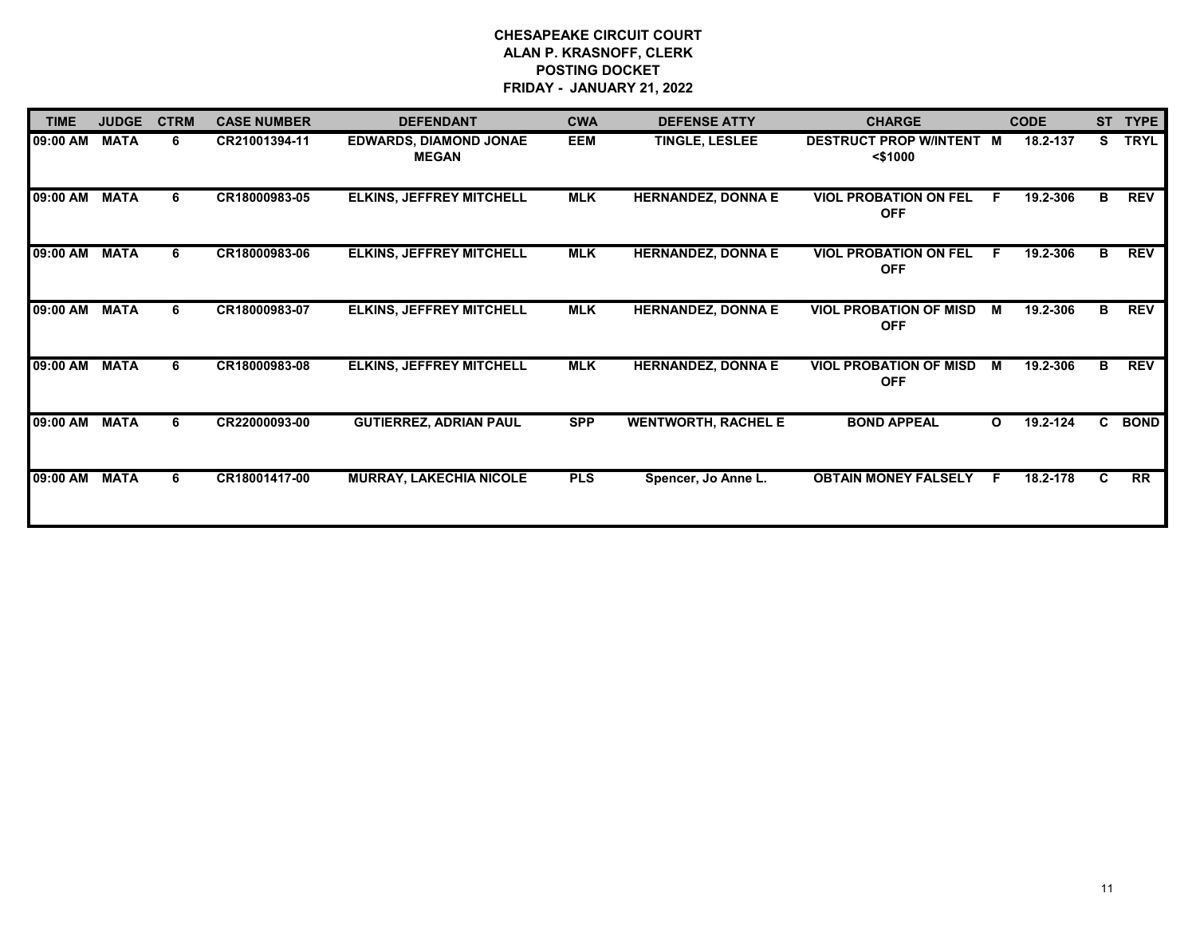| <b>TIME</b> | <b>JUDGE</b> | <b>CTRM</b> | <b>CASE NUMBER</b> | <b>DEFENDANT</b>                              | <b>CWA</b> | <b>DEFENSE ATTY</b>        | <b>CHARGE</b>                               | <b>CODE</b>              | <b>ST</b> | <b>TYPE</b> |
|-------------|--------------|-------------|--------------------|-----------------------------------------------|------------|----------------------------|---------------------------------------------|--------------------------|-----------|-------------|
| 09:00 AM    | <b>MATA</b>  | 6           | CR21001394-11      | <b>EDWARDS, DIAMOND JONAE</b><br><b>MEGAN</b> | <b>EEM</b> | <b>TINGLE, LESLEE</b>      | DESTRUCT PROP W/INTENT M<br>$<$ \$1000      | 18.2-137                 | S.        | <b>TRYL</b> |
| 09:00 AM    | <b>MATA</b>  | 6           | CR18000983-05      | <b>ELKINS, JEFFREY MITCHELL</b>               | <b>MLK</b> | <b>HERNANDEZ, DONNA E</b>  | <b>VIOL PROBATION ON FEL</b><br><b>OFF</b>  | 19.2-306<br>E            | В         | <b>REV</b>  |
| 09:00 AM    | <b>MATA</b>  | 6           | CR18000983-06      | <b>ELKINS, JEFFREY MITCHELL</b>               | <b>MLK</b> | <b>HERNANDEZ, DONNA E</b>  | <b>VIOL PROBATION ON FEL</b><br><b>OFF</b>  | 19.2-306<br>E            | в         | <b>REV</b>  |
| 09:00 AM    | <b>MATA</b>  | 6           | CR18000983-07      | <b>ELKINS, JEFFREY MITCHELL</b>               | MLK        | <b>HERNANDEZ, DONNA E</b>  | <b>VIOL PROBATION OF MISD</b><br><b>OFF</b> | 19.2-306<br>M            | В         | <b>REV</b>  |
| 09:00 AM    | <b>MATA</b>  | 6           | CR18000983-08      | <b>ELKINS, JEFFREY MITCHELL</b>               | <b>MLK</b> | <b>HERNANDEZ, DONNA E</b>  | <b>VIOL PROBATION OF MISD</b><br><b>OFF</b> | 19.2-306<br>м            | B.        | <b>REV</b>  |
| 09:00 AM    | <b>MATA</b>  | 6           | CR22000093-00      | <b>GUTIERREZ, ADRIAN PAUL</b>                 | <b>SPP</b> | <b>WENTWORTH, RACHEL E</b> | <b>BOND APPEAL</b>                          | 19.2-124<br>$\mathbf{o}$ | C.        | <b>BOND</b> |
| 09:00 AM    | <b>MATA</b>  | 6           | CR18001417-00      | <b>MURRAY, LAKECHIA NICOLE</b>                | <b>PLS</b> | Spencer, Jo Anne L.        | <b>OBTAIN MONEY FALSELY</b>                 | 18.2-178<br>E            | C.        | RR          |